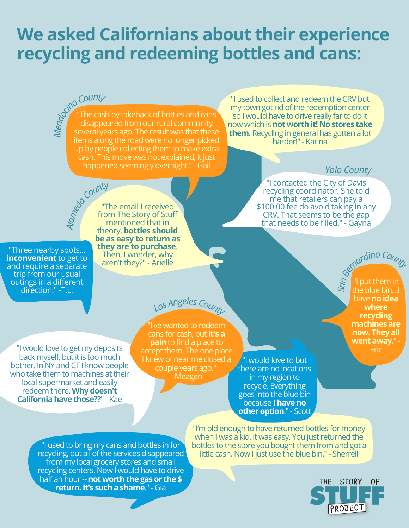# **We asked Californians about their experience recycling and redeeming bottles and cans:**

*M<sup>e</sup>ndocinoCount<sup>y</sup>* The cash by takeback of bottles and cans $\overline{\ }$ disappeared from our rural community several years ago. The result was that these items along the road were no longer picked up by people collecting them to make extra cash. This move was not explained, it just happened seemingly overnight." - Gail

"I used to collect and redeem the CRV but my town got rid of the redemption center so I would have to drive really far to do it now which is**not worthit! No stores take them**. Recycling in general has gotten a lot harder!" - Karina

### *Yolo County*

"I contacted the City of Davis recycling coordinator. She told me that retailers can pay a \$100.00 fee do avoid taking in any CRV. That seems to be the gap that needs to be filled." - Gayna

"Three nearby spots... **inconvenient** to get to and require a separate trip from our usual outings in a different direction." -T.L.

"I would love to get my deposits back myself, but it is too much bother. In NY and CT I know people who take them to machines at their local supermarket and easily redeem there.**Why doesn't California have those??" - Kae** 

*Alameda County* "The email I received from The Story of Stuff mentioned that in theory, **bottles should be as easy to return as they are to purchase**. Then, I wonder, why

aren't they?" - Arielle

## *<sup>L</sup>o<sup>s</sup> <sup>A</sup>ng<sup>e</sup>le<sup>s</sup> <sup>C</sup>ount<sup>y</sup>*

"I've wanted to redeem cans for cash, but**it's a pain** to find a place to accept them. The one place I knew of near me closed a couple years ago." - Meagen

"I would love to but there are no locations in my region to recycle. Everything goes into the blue bin because **Ihaveno other option**." - Scott

"I used to bring my cans and bottles in for recycling, but all of the services disappeared from my local grocery stores and small recycling centers. Now I would have to drive **half an hour -- not worth the gas or the \$ return.It's sucha shame**." - Gia

"I'm old enough to have returned bottles for money when I was a kid, it was easy. You just returned the bottles to the store you bought them from and got a little cash. Now I just use the blue bin." - Sherrell



"I put them in S<sup>a</sup><sub>the blue bin...</sub> have**no idea where recycling machines are now. They all went away**." - Eric *Bernardin<sup>o</sup>Count<sup>y</sup>*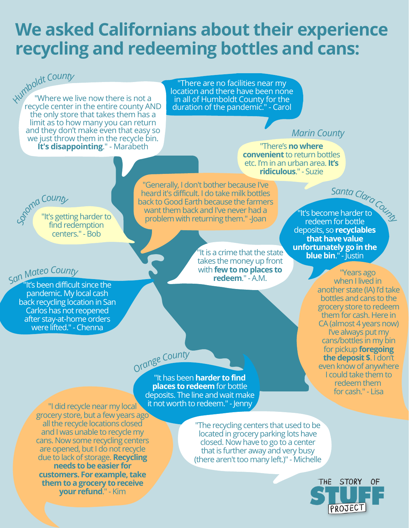## **We asked Californians about their experience recycling and redeeming bottles and cans:**

*Humbold<sup>t</sup> <sup>C</sup>ount<sup>y</sup>* "Where we live now there is not a recycle center in the entire county AND the only store that takes them has a limit as to how many you can return and they don't make even that easy so we just throw them in the recycle bin. **It's disappointing**." - Marabeth "There's**no where**

"There are no facilities near my location and there have been none in all of Humboldt County for the duration of the pandemic." - Carol

## *Marin County*

**convenient** to return bottles etc. I'm in an urban area.**It's ridiculous**." - Suzie

*<sup>S</sup>a<sup>n</sup> <sup>M</sup>ate<sup>o</sup> <sup>C</sup>ount<sup>y</sup>*

"It's getting harder to find redemption centers." - Bob *SonomaCount<sup>y</sup>*

"It's been difficult since the pandemic. My local cash back recycling location in San Carlos has not reopened after stay-at-home orders were lifted." - Chenna

"Generally, I don't bother because I've heard it's difficult. I do take milk bottles back to Good Earth because the farmers want them back and I've never had a problem with returning them." -Joan

> $^{\prime}$  It is a crime that the state takes the money up front **with few to no places to redeem**." - A.M.

*<sup>S</sup>ant<sup>a</sup> <sup>C</sup>lar<sup>a</sup> <sup>C</sup>ount<sup>y</sup>* "It's become harder to redeem for bottle deposits, so **recyclables that have value unfortunately** go in the **blue bin**." - Justin

> "Years ago when I lived in another state (IA) I'd take bottles and cans to the grocery store to redeem them for cash. Here in CA (almost 4 years now) I've always put my cans/bottles in my bin for pickup **foregoing the deposit \$**. I don't even know of anywhere I could take them to redeem them for cash." - Lisa

"It has been**harder to find places to redeem** for bottle deposits. The line and wait make it not worth to redeem." - Jenny

"I did recycle near my local grocery store, but a few years ago all the recycle locations closed and I was unable to recycle my cans. Now some recycling centers are opened, but I do not recycle due to lack of storage.**Recycling needs to be easier for customers. For example, take themto a grocery to receive your refund**." - Kim

"The recycling centers that used to be located in grocery parking lots have closed. Now have to go to a center that is further away and very busy (there aren't too many left.)" - Michelle



*Orang<sup>e</sup> <sup>C</sup>ount<sup>y</sup>*